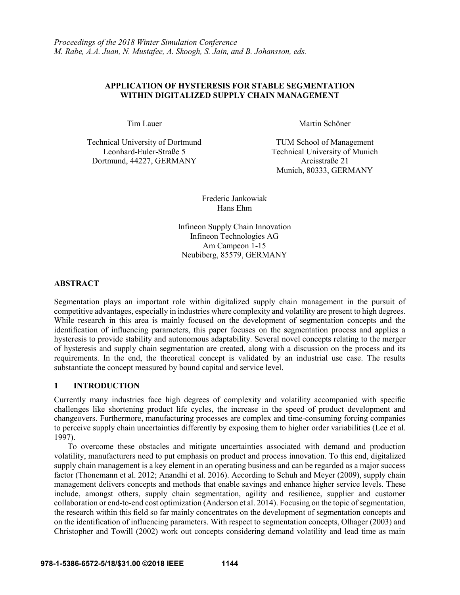# **APPLICATION OF HYSTERESIS FOR STABLE SEGMENTATION WITHIN DIGITALIZED SUPPLY CHAIN MANAGEMENT**

Technical University of Dortmund TUM School of Management Dortmund, 44227, GERMANY Arcisstraße 21

Tim Lauer Martin Schöner

Leonhard-Euler-Straße 5 Technical University of Munich Munich, 80333, GERMANY

> Frederic Jankowiak Hans Ehm

Infineon Supply Chain Innovation Infineon Technologies AG Am Campeon 1-15 Neubiberg, 85579, GERMANY

# **ABSTRACT**

Segmentation plays an important role within digitalized supply chain management in the pursuit of competitive advantages, especially in industries where complexity and volatility are present to high degrees. While research in this area is mainly focused on the development of segmentation concepts and the identification of influencing parameters, this paper focuses on the segmentation process and applies a hysteresis to provide stability and autonomous adaptability. Several novel concepts relating to the merger of hysteresis and supply chain segmentation are created, along with a discussion on the process and its requirements. In the end, the theoretical concept is validated by an industrial use case. The results substantiate the concept measured by bound capital and service level.

# **1 INTRODUCTION**

Currently many industries face high degrees of complexity and volatility accompanied with specific challenges like shortening product life cycles, the increase in the speed of product development and changeovers. Furthermore, manufacturing processes are complex and time-consuming forcing companies to perceive supply chain uncertainties differently by exposing them to higher order variabilities (Lee et al. 1997).

To overcome these obstacles and mitigate uncertainties associated with demand and production volatility, manufacturers need to put emphasis on product and process innovation. To this end, digitalized supply chain management is a key element in an operating business and can be regarded as a major success factor (Thonemann et al. 2012; Anandhi et al. 2016). According to Schuh and Meyer (2009), supply chain management delivers concepts and methods that enable savings and enhance higher service levels. These include, amongst others, supply chain segmentation, agility and resilience, supplier and customer collaboration or end-to-end cost optimization (Anderson et al. 2014). Focusing on the topic of segmentation, the research within this field so far mainly concentrates on the development of segmentation concepts and on the identification of influencing parameters. With respect to segmentation concepts, Olhager (2003) and Christopher and Towill (2002) work out concepts considering demand volatility and lead time as main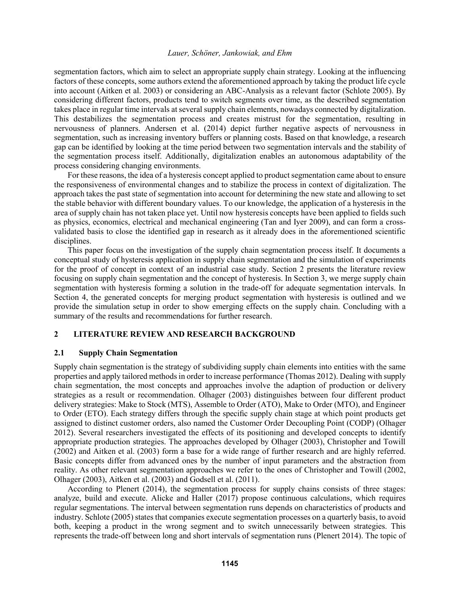segmentation factors, which aim to select an appropriate supply chain strategy. Looking at the influencing factors of these concepts, some authors extend the aforementioned approach by taking the product life cycle into account (Aitken et al. 2003) or considering an ABC-Analysis as a relevant factor (Schlote 2005). By considering different factors, products tend to switch segments over time, as the described segmentation takes place in regular time intervals at several supply chain elements, nowadays connected by digitalization. This destabilizes the segmentation process and creates mistrust for the segmentation, resulting in nervousness of planners. Andersen et al. (2014) depict further negative aspects of nervousness in segmentation, such as increasing inventory buffers or planning costs. Based on that knowledge, a research gap can be identified by looking at the time period between two segmentation intervals and the stability of the segmentation process itself. Additionally, digitalization enables an autonomous adaptability of the process considering changing environments.

For these reasons, the idea of a hysteresis concept applied to product segmentation came about to ensure the responsiveness of environmental changes and to stabilize the process in context of digitalization. The approach takes the past state of segmentation into account for determining the new state and allowing to set the stable behavior with different boundary values. To our knowledge, the application of a hysteresis in the area of supply chain has not taken place yet. Until now hysteresis concepts have been applied to fields such as physics, economics, electrical and mechanical engineering (Tan and Iyer 2009), and can form a crossvalidated basis to close the identified gap in research as it already does in the aforementioned scientific disciplines.

This paper focus on the investigation of the supply chain segmentation process itself. It documents a conceptual study of hysteresis application in supply chain segmentation and the simulation of experiments for the proof of concept in context of an industrial case study. Section 2 presents the literature review focusing on supply chain segmentation and the concept of hysteresis. In Section 3, we merge supply chain segmentation with hysteresis forming a solution in the trade-off for adequate segmentation intervals. In Section 4, the generated concepts for merging product segmentation with hysteresis is outlined and we provide the simulation setup in order to show emerging effects on the supply chain. Concluding with a summary of the results and recommendations for further research.

# **2 LITERATURE REVIEW AND RESEARCH BACKGROUND**

## **2.1 Supply Chain Segmentation**

Supply chain segmentation is the strategy of subdividing supply chain elements into entities with the same properties and apply tailored methods in order to increase performance (Thomas 2012). Dealing with supply chain segmentation, the most concepts and approaches involve the adaption of production or delivery strategies as a result or recommendation. Olhager (2003) distinguishes between four different product delivery strategies: Make to Stock (MTS), Assemble to Order (ATO), Make to Order (MTO), and Engineer to Order (ETO). Each strategy differs through the specific supply chain stage at which point products get assigned to distinct customer orders, also named the Customer Order Decoupling Point (CODP) (Olhager 2012). Several researchers investigated the effects of its positioning and developed concepts to identify appropriate production strategies. The approaches developed by Olhager (2003), Christopher and Towill (2002) and Aitken et al. (2003) form a base for a wide range of further research and are highly referred. Basic concepts differ from advanced ones by the number of input parameters and the abstraction from reality. As other relevant segmentation approaches we refer to the ones of Christopher and Towill (2002, Olhager (2003), Aitken et al. (2003) and Godsell et al. (2011).

According to Plenert (2014), the segmentation process for supply chains consists of three stages: analyze, build and execute. Alicke and Haller (2017) propose continuous calculations, which requires regular segmentations. The interval between segmentation runs depends on characteristics of products and industry. Schlote (2005) states that companies execute segmentation processes on a quarterly basis, to avoid both, keeping a product in the wrong segment and to switch unnecessarily between strategies. This represents the trade-off between long and short intervals of segmentation runs (Plenert 2014). The topic of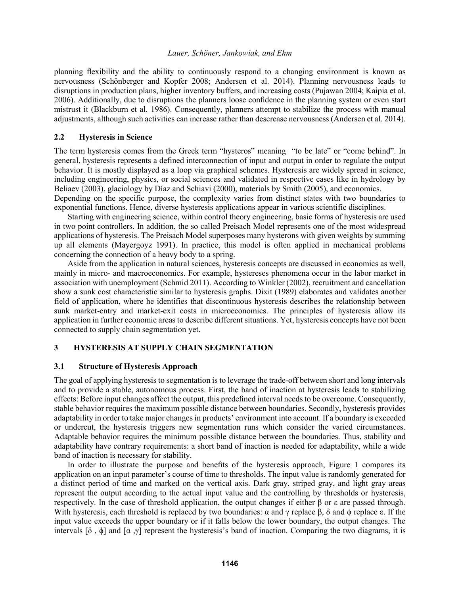planning flexibility and the ability to continuously respond to a changing environment is known as nervousness (Schönberger and Kopfer 2008; Andersen et al. 2014). Planning nervousness leads to disruptions in production plans, higher inventory buffers, and increasing costs (Pujawan 2004; Kaipia et al. 2006). Additionally, due to disruptions the planners loose confidence in the planning system or even start mistrust it (Blackburn et al. 1986). Consequently, planners attempt to stabilize the process with manual adjustments, although such activities can increase rather than descrease nervousness (Andersen et al. 2014).

## **2.2 Hysteresis in Science**

The term hysteresis comes from the Greek term "hysteros" meaning "to be late" or "come behind". In general, hysteresis represents a defined interconnection of input and output in order to regulate the output behavior. It is mostly displayed as a loop via graphical schemes. Hysteresis are widely spread in science, including engineering, physics, or social sciences and validated in respective cases like in hydrology by Beliaev (2003), glaciology by Díaz and Schiavi (2000), materials by Smith (2005), and economics. Depending on the specific purpose, the complexity varies from distinct states with two boundaries to

exponential functions. Hence, diverse hysteresis applications appear in various scientific disciplines. Starting with engineering science, within control theory engineering, basic forms of hysteresis are used in two point controllers. In addition, the so called Preisach Model represents one of the most widespread applications of hysteresis. The Preisach Model superposes many hysterons with given weights by summing up all elements (Mayergoyz 1991). In practice, this model is often applied in mechanical problems

concerning the connection of a heavy body to a spring. Aside from the application in natural sciences, hysteresis concepts are discussed in economics as well, mainly in micro- and macroeconomics. For example, hystereses phenomena occur in the labor market in association with unemployment (Schmid 2011). According to Winkler (2002), recruitment and cancellation show a sunk cost characteristic similar to hysteresis graphs. Dixit (1989) elaborates and validates another field of application, where he identifies that discontinuous hysteresis describes the relationship between sunk market-entry and market-exit costs in microeconomics. The principles of hysteresis allow its application in further economic areas to describe different situations. Yet, hysteresis concepts have not been connected to supply chain segmentation yet.

# **3 HYSTERESIS AT SUPPLY CHAIN SEGMENTATION**

## **3.1 Structure of Hysteresis Approach**

The goal of applying hysteresis to segmentation is to leverage the trade-off between short and long intervals and to provide a stable, autonomous process. First, the band of inaction at hysteresis leads to stabilizing effects: Before input changes affect the output, this predefined interval needs to be overcome. Consequently, stable behavior requires the maximum possible distance between boundaries. Secondly, hysteresis provides adaptability in order to take major changes in products' environment into account. If a boundary is exceeded or undercut, the hysteresis triggers new segmentation runs which consider the varied circumstances. Adaptable behavior requires the minimum possible distance between the boundaries. Thus, stability and adaptability have contrary requirements: a short band of inaction is needed for adaptability, while a wide band of inaction is necessary for stability.

In order to illustrate the purpose and benefits of the hysteresis approach, Figure 1 compares its application on an input parameter's course of time to thresholds. The input value is randomly generated for a distinct period of time and marked on the vertical axis. Dark gray, striped gray, and light gray areas represent the output according to the actual input value and the controlling by thresholds or hysteresis, respectively. In the case of threshold application, the output changes if either β or ε are passed through. With hysteresis, each threshold is replaced by two boundaries:  $\alpha$  and  $\gamma$  replace  $\beta$ ,  $\delta$  and  $\phi$  replace  $\varepsilon$ . If the input value exceeds the upper boundary or if it falls below the lower boundary, the output changes. The intervals  $[\delta, \phi]$  and  $[\alpha, \gamma]$  represent the hysteresis's band of inaction. Comparing the two diagrams, it is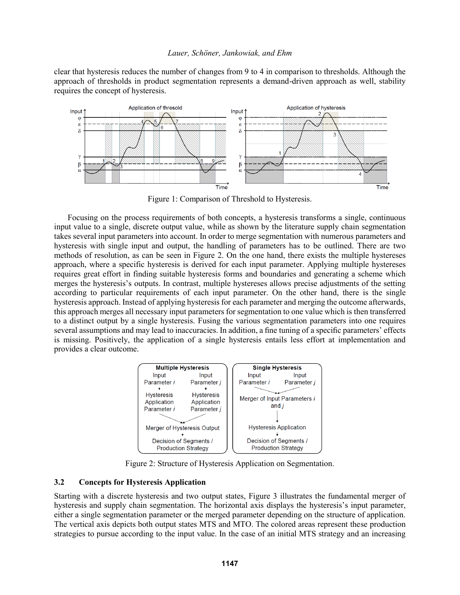clear that hysteresis reduces the number of changes from 9 to 4 in comparison to thresholds. Although the approach of thresholds in product segmentation represents a demand-driven approach as well, stability requires the concept of hysteresis.



Figure 1: Comparison of Threshold to Hysteresis.

Focusing on the process requirements of both concepts, a hysteresis transforms a single, continuous input value to a single, discrete output value, while as shown by the literature supply chain segmentation takes several input parameters into account. In order to merge segmentation with numerous parameters and hysteresis with single input and output, the handling of parameters has to be outlined. There are two methods of resolution, as can be seen in Figure 2. On the one hand, there exists the multiple hystereses approach, where a specific hysteresis is derived for each input parameter. Applying multiple hystereses requires great effort in finding suitable hysteresis forms and boundaries and generating a scheme which merges the hysteresis's outputs. In contrast, multiple hystereses allows precise adjustments of the setting according to particular requirements of each input parameter. On the other hand, there is the single hysteresis approach. Instead of applying hysteresis for each parameter and merging the outcome afterwards, this approach merges all necessary input parameters for segmentation to one value which is then transferred to a distinct output by a single hysteresis. Fusing the various segmentation parameters into one requires several assumptions and may lead to inaccuracies. In addition, a fine tuning of a specific parameters' effects is missing. Positively, the application of a single hysteresis entails less effort at implementation and provides a clear outcome.



Figure 2: Structure of Hysteresis Application on Segmentation.

# **3.2 Concepts for Hysteresis Application**

Starting with a discrete hysteresis and two output states, Figure 3 illustrates the fundamental merger of hysteresis and supply chain segmentation. The horizontal axis displays the hysteresis's input parameter, either a single segmentation parameter or the merged parameter depending on the structure of application. The vertical axis depicts both output states MTS and MTO. The colored areas represent these production strategies to pursue according to the input value. In the case of an initial MTS strategy and an increasing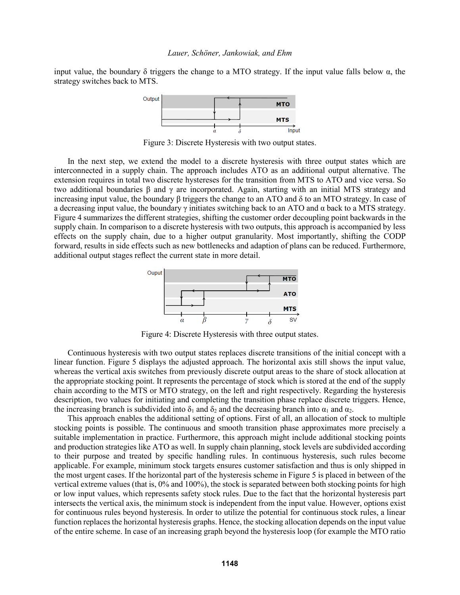input value, the boundary  $\delta$  triggers the change to a MTO strategy. If the input value falls below  $\alpha$ , the strategy switches back to MTS.



Figure 3: Discrete Hysteresis with two output states.

In the next step, we extend the model to a discrete hysteresis with three output states which are interconnected in a supply chain. The approach includes ATO as an additional output alternative. The extension requires in total two discrete hystereses for the transition from MTS to ATO and vice versa. So two additional boundaries β and γ are incorporated. Again, starting with an initial MTS strategy and increasing input value, the boundary β triggers the change to an ATO and δ to an MTO strategy. In case of a decreasing input value, the boundary  $\gamma$  initiates switching back to an ATO and  $\alpha$  back to a MTS strategy. Figure 4 summarizes the different strategies, shifting the customer order decoupling point backwards in the supply chain. In comparison to a discrete hysteresis with two outputs, this approach is accompanied by less effects on the supply chain, due to a higher output granularity. Most importantly, shifting the CODP forward, results in side effects such as new bottlenecks and adaption of plans can be reduced. Furthermore, additional output stages reflect the current state in more detail.



Figure 4: Discrete Hysteresis with three output states.

Continuous hysteresis with two output states replaces discrete transitions of the initial concept with a linear function. Figure 5 displays the adjusted approach. The horizontal axis still shows the input value, whereas the vertical axis switches from previously discrete output areas to the share of stock allocation at the appropriate stocking point. It represents the percentage of stock which is stored at the end of the supply chain according to the MTS or MTO strategy, on the left and right respectively. Regarding the hysteresis description, two values for initiating and completing the transition phase replace discrete triggers. Hence, the increasing branch is subdivided into  $\delta_1$  and  $\delta_2$  and the decreasing branch into  $\alpha_1$  and  $\alpha_2$ .

This approach enables the additional setting of options. First of all, an allocation of stock to multiple stocking points is possible. The continuous and smooth transition phase approximates more precisely a suitable implementation in practice. Furthermore, this approach might include additional stocking points and production strategies like ATO as well. In supply chain planning, stock levels are subdivided according to their purpose and treated by specific handling rules. In continuous hysteresis, such rules become applicable. For example, minimum stock targets ensures customer satisfaction and thus is only shipped in the most urgent cases. If the horizontal part of the hysteresis scheme in Figure 5 is placed in between of the vertical extreme values (that is, 0% and 100%), the stock is separated between both stocking points for high or low input values, which represents safety stock rules. Due to the fact that the horizontal hysteresis part intersects the vertical axis, the minimum stock is independent from the input value. However, options exist for continuous rules beyond hysteresis. In order to utilize the potential for continuous stock rules, a linear function replaces the horizontal hysteresis graphs. Hence, the stocking allocation depends on the input value of the entire scheme. In case of an increasing graph beyond the hysteresis loop (for example the MTO ratio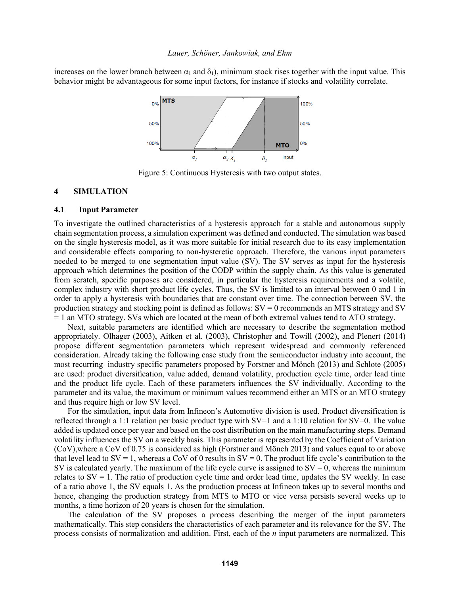increases on the lower branch between  $\alpha_1$  and  $\delta_1$ ), minimum stock rises together with the input value. This behavior might be advantageous for some input factors, for instance if stocks and volatility correlate.



Figure 5: Continuous Hysteresis with two output states.

## **4 SIMULATION**

#### **4.1 Input Parameter**

To investigate the outlined characteristics of a hysteresis approach for a stable and autonomous supply chain segmentation process, a simulation experiment was defined and conducted. The simulation was based on the single hysteresis model, as it was more suitable for initial research due to its easy implementation and considerable effects comparing to non-hysteretic approach. Therefore, the various input parameters needed to be merged to one segmentation input value (SV). The SV serves as input for the hysteresis approach which determines the position of the CODP within the supply chain. As this value is generated from scratch, specific purposes are considered, in particular the hysteresis requirements and a volatile, complex industry with short product life cycles. Thus, the SV is limited to an interval between 0 and 1 in order to apply a hysteresis with boundaries that are constant over time. The connection between SV, the production strategy and stocking point is defined as follows:  $SV = 0$  recommends an MTS strategy and SV = 1 an MTO strategy. SVs which are located at the mean of both extremal values tend to ATO strategy.

Next, suitable parameters are identified which are necessary to describe the segmentation method appropriately. Olhager (2003), Aitken et al. (2003), Christopher and Towill (2002), and Plenert (2014) propose different segmentation parameters which represent widespread and commonly referenced consideration. Already taking the following case study from the semiconductor industry into account, the most recurring industry specific parameters proposed by Forstner and Mönch (2013) and Schlote (2005) are used: product diversification, value added, demand volatility, production cycle time, order lead time and the product life cycle. Each of these parameters influences the SV individually. According to the parameter and its value, the maximum or minimum values recommend either an MTS or an MTO strategy and thus require high or low SV level.

For the simulation, input data from Infineon's Automotive division is used. Product diversification is reflected through a 1:1 relation per basic product type with  $SV=1$  and a 1:10 relation for  $SV=0$ . The value added is updated once per year and based on the cost distribution on the main manufacturing steps. Demand volatility influences the SV on a weekly basis. This parameter is represented by the Coefficient of Variation (CoV),where a CoV of 0.75 is considered as high (Forstner and Mönch 2013) and values equal to or above that level lead to  $SV = 1$ , whereas a CoV of 0 results in  $SV = 0$ . The product life cycle's contribution to the SV is calculated yearly. The maximum of the life cycle curve is assigned to  $SV = 0$ , whereas the minimum relates to  $SV = 1$ . The ratio of production cycle time and order lead time, updates the SV weekly. In case of a ratio above 1, the SV equals 1. As the production process at Infineon takes up to several months and hence, changing the production strategy from MTS to MTO or vice versa persists several weeks up to months, a time horizon of 20 years is chosen for the simulation.

The calculation of the SV proposes a process describing the merger of the input parameters mathematically. This step considers the characteristics of each parameter and its relevance for the SV. The process consists of normalization and addition. First, each of the *n* input parameters are normalized. This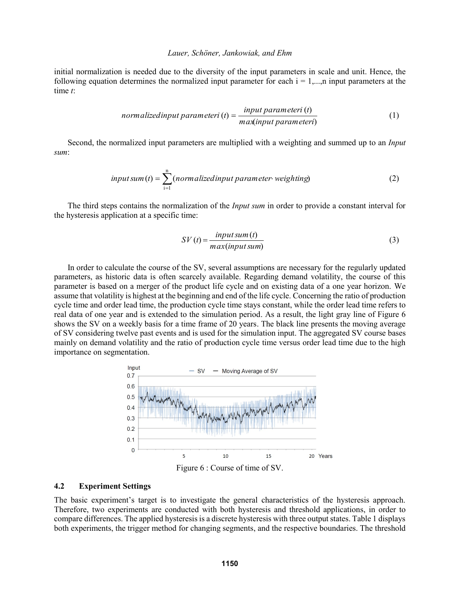initial normalization is needed due to the diversity of the input parameters in scale and unit. Hence, the following equation determines the normalized input parameter for each  $i = 1, \ldots, n$  input parameters at the time *t*:

normalized input parameter 
$$
i(t) = \frac{input parameteri(t)}{maxinput parameteri}
$$
 (1)

Second, the normalized input parameters are multiplied with a weighting and summed up to an *Input sum*:

$$
input sum(t) = \sum_{i=1}^{n} (normalized input parameter-weighting)
$$
 (2)

The third steps contains the normalization of the *Input sum* in order to provide a constant interval for the hysteresis application at a specific time:

$$
SV(t) = \frac{input sum(t)}{max(input sum)}
$$
\n(3)

In order to calculate the course of the SV, several assumptions are necessary for the regularly updated parameters, as historic data is often scarcely available. Regarding demand volatility, the course of this parameter is based on a merger of the product life cycle and on existing data of a one year horizon. We assume that volatility is highest at the beginning and end of the life cycle. Concerning the ratio of production cycle time and order lead time, the production cycle time stays constant, while the order lead time refers to real data of one year and is extended to the simulation period. As a result, the light gray line of Figure 6 shows the SV on a weekly basis for a time frame of 20 years. The black line presents the moving average of SV considering twelve past events and is used for the simulation input. The aggregated SV course bases mainly on demand volatility and the ratio of production cycle time versus order lead time due to the high importance on segmentation.



#### **4.2 Experiment Settings**

The basic experiment's target is to investigate the general characteristics of the hysteresis approach. Therefore, two experiments are conducted with both hysteresis and threshold applications, in order to compare differences. The applied hysteresis is a discrete hysteresis with three output states. Table 1 displays both experiments, the trigger method for changing segments, and the respective boundaries. The threshold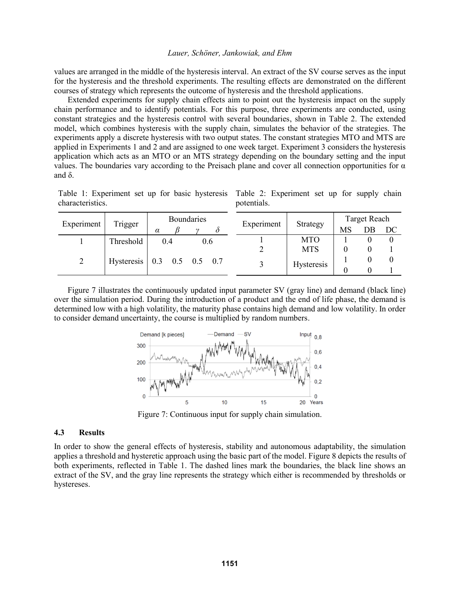values are arranged in the middle of the hysteresis interval. An extract of the SV course serves as the input for the hysteresis and the threshold experiments. The resulting effects are demonstrated on the different courses of strategy which represents the outcome of hysteresis and the threshold applications.

Extended experiments for supply chain effects aim to point out the hysteresis impact on the supply chain performance and to identify potentials. For this purpose, three experiments are conducted, using constant strategies and the hysteresis control with several boundaries, shown in Table 2. The extended model, which combines hysteresis with the supply chain, simulates the behavior of the strategies. The experiments apply a discrete hysteresis with two output states. The constant strategies MTO and MTS are applied in Experiments 1 and 2 and are assigned to one week target. Experiment 3 considers the hysteresis application which acts as an MTO or an MTS strategy depending on the boundary setting and the input values. The boundaries vary according to the Preisach plane and cover all connection opportunities for α and δ.

Table 1: Experiment set up for basic hysteresis Table 2: Experiment set up for supply chain characteristics. potentials.

| Experiment | Trigger                      |          | <b>Boundaries</b> | Experiment  | Strategy   | Target Reach |    |    |  |
|------------|------------------------------|----------|-------------------|-------------|------------|--------------|----|----|--|
|            |                              | $\alpha$ | $^{\prime}$       |             |            | MS           | DB | DC |  |
|            | Threshold                    | 0.4      | 0.6               |             | <b>MTO</b> |              |    |    |  |
|            |                              |          |                   |             | <b>MTS</b> |              |    |    |  |
| 2          | Hysteresis   0.3 0.5 0.5 0.7 |          |                   | $\mathbf 3$ | Hysteresis |              |    |    |  |
|            |                              |          |                   |             |            |              |    |    |  |

Figure 7 illustrates the continuously updated input parameter SV (gray line) and demand (black line) over the simulation period. During the introduction of a product and the end of life phase, the demand is determined low with a high volatility, the maturity phase contains high demand and low volatility. In order to consider demand uncertainty, the course is multiplied by random numbers.



Figure 7: Continuous input for supply chain simulation.

## **4.3 Results**

In order to show the general effects of hysteresis, stability and autonomous adaptability, the simulation applies a threshold and hysteretic approach using the basic part of the model. Figure 8 depicts the results of both experiments, reflected in Table 1. The dashed lines mark the boundaries, the black line shows an extract of the SV, and the gray line represents the strategy which either is recommended by thresholds or hystereses.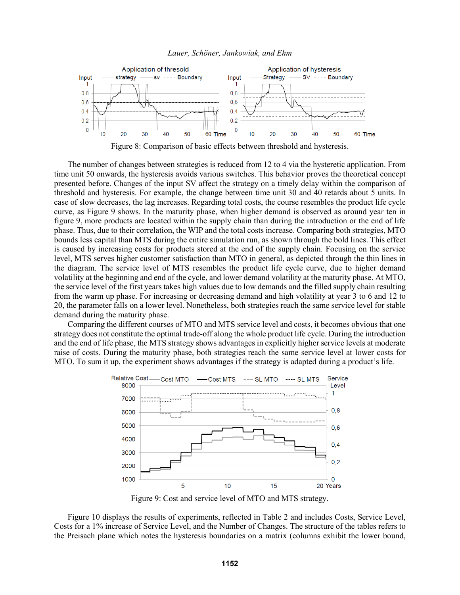



Figure 8: Comparison of basic effects between threshold and hysteresis.

The number of changes between strategies is reduced from 12 to 4 via the hysteretic application. From time unit 50 onwards, the hysteresis avoids various switches. This behavior proves the theoretical concept presented before. Changes of the input SV affect the strategy on a timely delay within the comparison of threshold and hysteresis. For example, the change between time unit 30 and 40 retards about 5 units. In case of slow decreases, the lag increases. Regarding total costs, the course resembles the product life cycle curve, as Figure 9 shows. In the maturity phase, when higher demand is observed as around year ten in figure 9, more products are located within the supply chain than during the introduction or the end of life phase. Thus, due to their correlation, the WIP and the total costs increase. Comparing both strategies, MTO bounds less capital than MTS during the entire simulation run, as shown through the bold lines. This effect is caused by increasing costs for products stored at the end of the supply chain. Focusing on the service level, MTS serves higher customer satisfaction than MTO in general, as depicted through the thin lines in the diagram. The service level of MTS resembles the product life cycle curve, due to higher demand volatility at the beginning and end of the cycle, and lower demand volatility at the maturity phase. At MTO, the service level of the first years takes high values due to low demands and the filled supply chain resulting from the warm up phase. For increasing or decreasing demand and high volatility at year 3 to 6 and 12 to 20, the parameter falls on a lower level. Nonetheless, both strategies reach the same service level for stable demand during the maturity phase.

Comparing the different courses of MTO and MTS service level and costs, it becomes obvious that one strategy does not constitute the optimal trade-off along the whole product life cycle. During the introduction and the end of life phase, the MTS strategy shows advantages in explicitly higher service levels at moderate raise of costs. During the maturity phase, both strategies reach the same service level at lower costs for MTO. To sum it up, the experiment shows advantages if the strategy is adapted during a product's life.



Figure 9: Cost and service level of MTO and MTS strategy.

Figure 10 displays the results of experiments, reflected in Table 2 and includes Costs, Service Level, Costs for a 1% increase of Service Level, and the Number of Changes. The structure of the tables refers to the Preisach plane which notes the hysteresis boundaries on a matrix (columns exhibit the lower bound,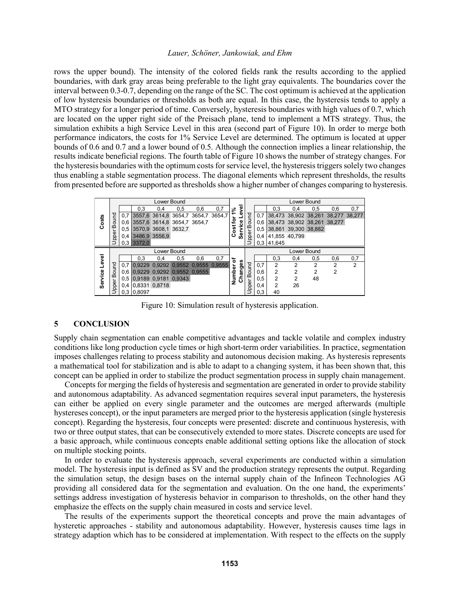rows the upper bound). The intensity of the colored fields rank the results according to the applied boundaries, with dark gray areas being preferable to the light gray equivalents. The boundaries cover the interval between 0.3-0.7, depending on the range of the SC. The cost optimum is achieved at the application of low hysteresis boundaries or thresholds as both are equal. In this case, the hysteresis tends to apply a MTO strategy for a longer period of time. Conversely, hysteresis boundaries with high values of 0.7, which are located on the upper right side of the Preisach plane, tend to implement a MTS strategy. Thus, the simulation exhibits a high Service Level in this area (second part of Figure 10). In order to merge both performance indicators, the costs for 1% Service Level are determined. The optimum is located at upper bounds of 0.6 and 0.7 and a lower bound of 0.5. Although the connection implies a linear relationship, the results indicate beneficial regions. The fourth table of Figure 10 shows the number of strategy changes. For the hysteresis boundaries with the optimum costs for service level, the hysteresis triggers solely two changes thus enabling a stable segmentation process. The diagonal elements which represent thresholds, the results from presented before are supported as thresholds show a higher number of changes comparing to hysteresis.

|         |             |     |                                    | Lower Bound |     |     |        |                               |             |     |                                 |     | Lower Bound |     |                |
|---------|-------------|-----|------------------------------------|-------------|-----|-----|--------|-------------------------------|-------------|-----|---------------------------------|-----|-------------|-----|----------------|
|         |             |     | 0,3                                | 0.4         | 0,5 | 0,6 | 0,7    | g<br>ని                       |             |     | 0,3                             | 0.4 | 0.5         | 0,6 | 0,7            |
|         |             | 0.7 | 3557,6 3614,8 3654,7 3654,7 3654,7 |             |     |     |        | Φ<br>$\overline{\phantom{0}}$ |             | 0,7 | 38,473 38,902 38,261 38,277     |     |             |     | 38.277         |
| Costs   | Bound       |     | 0.6 3557.6 3614.8 3654.7 3654.7    |             |     |     |        | ٥                             | Bound       |     | 0.6 38,473 38,902 38,261 38,277 |     |             |     |                |
|         |             |     | 0.5 3570.9 3608.1 3632.7           |             |     |     |        | <b>S</b><br>۰                 |             |     | 0.5 38,861 39,300 38,882        |     |             |     |                |
|         | Upper       |     | 0.4 3486,9 3556,9                  |             |     |     |        | Service                       | pper        |     | 0.4 41,855 40,799               |     |             |     |                |
|         |             |     | 0,3 3372,0                         |             |     |     |        |                               |             |     | $0,3$ 41,645                    |     |             |     |                |
|         | Lower Bound |     |                                    |             |     |     |        |                               | Lower Bound |     |                                 |     |             |     |                |
|         |             |     |                                    |             |     |     |        |                               |             |     |                                 |     |             |     |                |
|         |             |     | 0.3                                | 0.4         | 0,5 | 0,6 | 0,7    |                               |             |     | 0,3                             | 0,4 | 0,5         | 0,6 | 0,7            |
|         |             |     | 0,7 0,9229 0,9292 0,9552 0,9555    |             |     |     | 0.9555 | ৳                             |             | 0,7 | $\overline{2}$                  | 2   | 2           | 2   | $\overline{2}$ |
| Level   | puno        |     | 0.6 0.9229 0.9292 0.9552 0.9555    |             |     |     |        |                               |             | 0,6 | $\overline{2}$                  | 2   | 2           | 2   |                |
|         | മ           |     | 0.5 0.9189 0.9181 0.9343           |             |     |     |        |                               | Bound       | 0,5 | $\overline{2}$                  | 2   | 48          |     |                |
| Service | pper        |     | 0,4 0,8331 0,8718                  |             |     |     |        | Changes<br>n<br>Numb          | pper        | 0,4 | $\overline{2}$                  | 26  |             |     |                |

Figure 10: Simulation result of hysteresis application.

# **5 CONCLUSION**

Supply chain segmentation can enable competitive advantages and tackle volatile and complex industry conditions like long production cycle times or high short-term order variabilities. In practice, segmentation imposes challenges relating to process stability and autonomous decision making. As hysteresis represents a mathematical tool for stabilization and is able to adapt to a changing system, it has been shown that, this concept can be applied in order to stabilize the product segmentation process in supply chain management.

Concepts for merging the fields of hysteresis and segmentation are generated in order to provide stability and autonomous adaptability. As advanced segmentation requires several input parameters, the hysteresis can either be applied on every single parameter and the outcomes are merged afterwards (multiple hystereses concept), or the input parameters are merged prior to the hysteresis application (single hysteresis concept). Regarding the hysteresis, four concepts were presented: discrete and continuous hysteresis, with two or three output states, that can be consecutively extended to more states. Discrete concepts are used for a basic approach, while continuous concepts enable additional setting options like the allocation of stock on multiple stocking points.

In order to evaluate the hysteresis approach, several experiments are conducted within a simulation model. The hysteresis input is defined as SV and the production strategy represents the output. Regarding the simulation setup, the design bases on the internal supply chain of the Infineon Technologies AG providing all considered data for the segmentation and evaluation. On the one hand, the experiments' settings address investigation of hysteresis behavior in comparison to thresholds, on the other hand they emphasize the effects on the supply chain measured in costs and service level.

The results of the experiments support the theoretical concepts and prove the main advantages of hysteretic approaches - stability and autonomous adaptability. However, hysteresis causes time lags in strategy adaption which has to be considered at implementation. With respect to the effects on the supply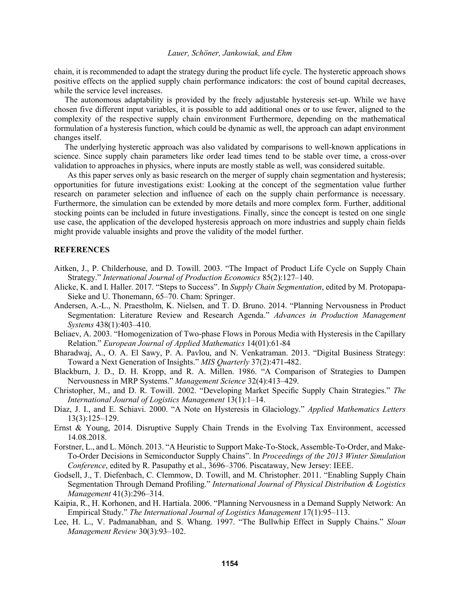chain, it is recommended to adapt the strategy during the product life cycle. The hysteretic approach shows positive effects on the applied supply chain performance indicators: the cost of bound capital decreases, while the service level increases.

The autonomous adaptability is provided by the freely adjustable hysteresis set-up. While we have chosen five different input variables, it is possible to add additional ones or to use fewer, aligned to the complexity of the respective supply chain environment Furthermore, depending on the mathematical formulation of a hysteresis function, which could be dynamic as well, the approach can adapt environment changes itself.

The underlying hysteretic approach was also validated by comparisons to well-known applications in science. Since supply chain parameters like order lead times tend to be stable over time, a cross-over validation to approaches in physics, where inputs are mostly stable as well, was considered suitable.

As this paper serves only as basic research on the merger of supply chain segmentation and hysteresis; opportunities for future investigations exist: Looking at the concept of the segmentation value further research on parameter selection and influence of each on the supply chain performance is necessary. Furthermore, the simulation can be extended by more details and more complex form. Further, additional stocking points can be included in future investigations. Finally, since the concept is tested on one single use case, the application of the developed hysteresis approach on more industries and supply chain fields might provide valuable insights and prove the validity of the model further.

## **REFERENCES**

- Aitken, J., P. Childerhouse, and D. Towill. 2003. "The Impact of Product Life Cycle on Supply Chain Strategy." *International Journal of Production Economics* 85(2):127–140.
- Alicke, K. and I. Haller. 2017. "Steps to Success". In *Supply Chain Segmentation*, edited by M. Protopapa-Sieke and U. Thonemann, 65–70. Cham: Springer.
- Andersen, A.-L., N. Praestholm, K. Nielsen, and T. D. Bruno. 2014. "Planning Nervousness in Product Segmentation: Literature Review and Research Agenda." *Advances in Production Management Systems* 438(1):403–410.
- Beliaev, A. 2003. "Homogenization of Two-phase Flows in Porous Media with Hysteresis in the Capillary Relation." *European Journal of Applied Mathematics* 14(01):61-84
- Bharadwaj, A., O. A. El Sawy, P. A. Pavlou, and N. Venkatraman. 2013. "Digital Business Strategy: Toward a Next Generation of Insights." *MIS Quarterly* 37(2):471-482.
- Blackburn, J. D., D. H. Kropp, and R. A. Millen. 1986. "A Comparison of Strategies to Dampen Nervousness in MRP Systems." *Management Science* 32(4):413–429.
- Christopher, M., and D. R. Towill. 2002. "Developing Market Specific Supply Chain Strategies." *The International Journal of Logistics Management* 13(1):1–14.
- Díaz, J. I., and E. Schiavi. 2000. "A Note on Hysteresis in Glaciology." *Applied Mathematics Letters* 13(3):125–129.
- Ernst & Young, 2014. Disruptive Supply Chain Trends in the Evolving Tax Environment, accessed 14.08.2018.
- Forstner, L., and L. Mönch. 2013. "A Heuristic to Support Make-To-Stock, Assemble-To-Order, and Make-To-Order Decisions in Semiconductor Supply Chains". In *Proceedings of the 2013 Winter Simulation Conference*, edited by R. Pasupathy et al., 3696–3706. Piscataway, New Jersey: IEEE.
- Godsell, J., T. Diefenbach, C. Clemmow, D. Towill, and M. Christopher. 2011. "Enabling Supply Chain Segmentation Through Demand Profiling." *International Journal of Physical Distribution & Logistics Management* 41(3):296–314.
- Kaipia, R., H. Korhonen, and H. Hartiala. 2006. "Planning Nervousness in a Demand Supply Network: An Empirical Study." *The International Journal of Logistics Management* 17(1):95–113.
- Lee, H. L., V. Padmanabhan, and S. Whang. 1997. "The Bullwhip Effect in Supply Chains." *Sloan Management Review* 30(3):93–102.